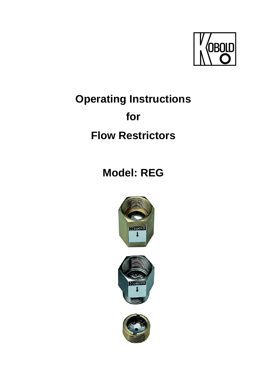

# **Operating Instructions**

# **for**

# **Flow Restrictors**

**Model: REG** 





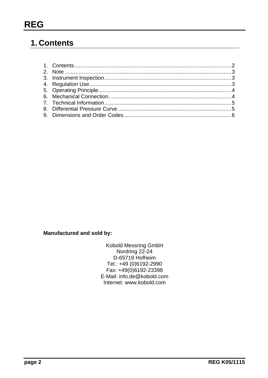## 1. Contents

**Manufactured and sold by:** 

Kobold Messring GmbH Nordring 22-24 D-65719 Hofheim Tel.: +49 (0)6192-2990 Fax: +49(0)6192-23398 E-Mail: info.de@kobold.com Internet: www.kobold.com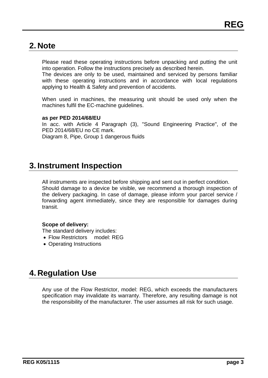### **2. Note**

Please read these operating instructions before unpacking and putting the unit into operation. Follow the instructions precisely as described herein.

The devices are only to be used, maintained and serviced by persons familiar with these operating instructions and in accordance with local regulations applying to Health & Safety and prevention of accidents.

When used in machines, the measuring unit should be used only when the machines fulfil the EC-machine guidelines.

### **as per PED 2014/68/EU**

In acc. with Article 4 Paragraph (3), "Sound Engineering Practice", of the PED 2014/68/EU no CE mark. Diagram 8, Pipe, Group 1 dangerous fluids

### **3. Instrument Inspection**

All instruments are inspected before shipping and sent out in perfect condition. Should damage to a device be visible, we recommend a thorough inspection of the delivery packaging. In case of damage, please inform your parcel service / forwarding agent immediately, since they are responsible for damages during transit.

### **Scope of delivery:**

The standard delivery includes:

- Flow Restrictors model: REG
- Operating Instructions

## **4. Regulation Use**

Any use of the Flow Restrictor, model: REG, which exceeds the manufacturers specification may invalidate its warranty. Therefore, any resulting damage is not the responsibility of the manufacturer. The user assumes all risk for such usage.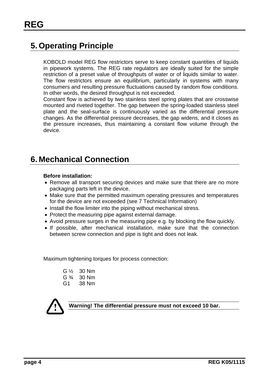## **5. Operating Principle**

KOBOLD model REG flow restrictors serve to keep constant quantities of liquids in pipework systems. The REG rate regulators are ideally suited for the simple restriction of a preset value of throughputs of water or of liquids similar to water. The flow restrictors ensure an equilibrium, particularly in systems with many consumers and resulting pressure fluctuations caused by random flow conditions. In other words, the desired throughput is not exceeded.

Constant flow is achieved by two stainless steel spring plates that are crosswise mounted and riveted together. The gap between the spring-loaded stainless steel plate and the seal-surface is continuously varied as the differential pressure changes. As the differential pressure decreases, the gap widens, and it closes as the pressure increases, thus maintaining a constant flow volume through the device.

### **6. Mechanical Connection**

### **Before installation:**

- Remove all transport securing devices and make sure that there are no more packaging parts left in the device.
- Make sure that the permitted maximum operating pressures and temperatures for the device are not exceeded (see 7 Technical Information)
- Install the flow limiter into the piping without mechanical stress.
- Protect the measuring pipe against external damage.
- Avoid pressure surges in the measuring pipe e.g. by blocking the flow quickly.
- If possible, after mechanical installation, make sure that the connection between screw connection and pipe is tight and does not leak.

Maximum tightening torques for process connection:

| G ½             | 30 Nm |
|-----------------|-------|
| G $\frac{3}{4}$ | 30 Nm |
| G1              | 38 Nm |



**Warning! The differential pressure must not exceed 10 bar.**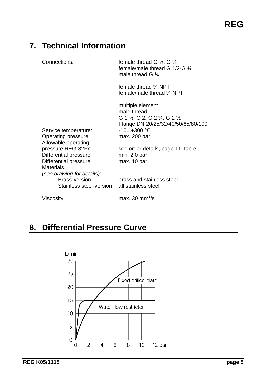# **7. Technical Information**

| Connections:                                                                                                             | female thread G $\frac{1}{2}$ , G $\frac{3}{4}$<br>female/male thread G 1/2-G $\frac{3}{4}$<br>male thread G $\frac{3}{4}$                                              |
|--------------------------------------------------------------------------------------------------------------------------|-------------------------------------------------------------------------------------------------------------------------------------------------------------------------|
|                                                                                                                          | female thread 3⁄4 NPT<br>female/male thread 34 NPT                                                                                                                      |
| Service temperature:<br>Operating pressure:<br>Allowable operating                                                       | multiple element<br>male thread<br>G 1 $\frac{1}{2}$ , G 2, G 2 $\frac{1}{4}$ , G 2 $\frac{1}{2}$<br>Flange DN 20/25/32/40/50/65/80/100<br>$-10+300$ °C<br>max. 200 bar |
| pressure REG-82Fx:<br>Differential pressure:<br>Differential pressure:<br><b>Materials</b><br>(see drawing for details): | see order details, page 11, table<br>min. 2.0 bar<br>max. 10 bar                                                                                                        |
| <b>Brass-version</b><br>Stainless steel-version                                                                          | brass and stainless steel<br>all stainless steel                                                                                                                        |
| Viscosity:                                                                                                               | max. 30 mm $^{2}/s$                                                                                                                                                     |

# **8. Differential Pressure Curve**

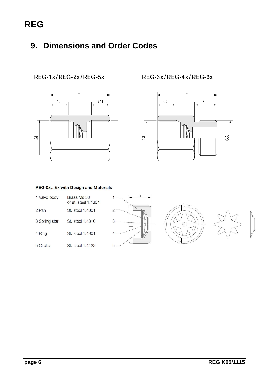# **9. Dimensions and Order Codes**

### REG-1x/REG-2x/REG-5x



REG-3x/REG-4x/REG-6x



#### REG-0x...6x with Design and Materials

| 1 Valve body  | Brass Ms 58<br>or st. steel 1,4301 |  |
|---------------|------------------------------------|--|
| 2 Pan         | St. steel 1.4301                   |  |
| 3 Spring star | St. steel 1.4310                   |  |
| 4 Ring        | St. steel 1,4301                   |  |
| 5 Circlip     | St. steel 1.4122                   |  |





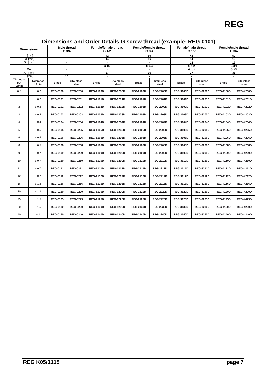| 42<br>50<br>42<br>50<br>$L$ [mm]<br>GT [mm]<br>14<br>16<br>14<br>16<br>$\overline{a}$<br>GL [mm]<br>14<br>16<br>$\blacksquare$<br>GI<br>G 1/2<br>G 3/4<br>G 1/2<br>G 3/4<br>$\blacksquare$<br>GA<br>G 1/2<br>G 3/4<br>$\blacksquare$<br>$\overline{\phantom{a}}$<br>$\overline{\phantom{a}}$<br>27<br>AF [mm]<br>36<br>27<br>36<br>$\blacksquare$<br>$H$ [mm]<br>15<br>Through-<br>Tolerance<br><b>Stainless</b><br><b>Stainless</b><br><b>Stainless</b><br><b>Stainless</b><br><b>Stainless</b><br>put<br><b>Brass</b><br>Brass<br><b>Brass</b><br><b>Brass</b><br><b>Brass</b><br>L/min<br>steel<br>steel<br>steel<br>steel<br>steel<br>L/min<br>0,5<br><b>REG-1100D</b><br><b>REG-3100D</b><br><b>REG-4200D</b><br>± 0.2<br><b>REG-0100</b><br><b>REG-0200</b><br><b>REG-1200D</b><br><b>REG-2100D</b><br><b>REG-2200D</b><br><b>REG-3200D</b><br><b>REG-4100D</b><br><b>REG-0101</b><br><b>REG-0201</b><br><b>REG-1101D</b><br><b>REG-1201D</b><br><b>REG-2101D</b><br><b>REG-2201D</b><br><b>REG-3101D</b><br><b>REG-3201D</b><br><b>REG-4101D</b><br><b>REG-4201D</b><br>$\mathbf{1}$<br>± 0.2<br>$\overline{2}$<br>± 0.2<br><b>REG-0102</b><br><b>REG-0202</b><br><b>REG-1102D</b><br><b>REG-1202D</b><br><b>REG-2102D</b><br><b>REG-2202D</b><br><b>REG-3202D</b><br><b>REG-4202D</b><br><b>REG-3102D</b><br><b>REG-4102D</b><br>3<br>± 0.4<br><b>REG-0103</b><br><b>REG-0203</b><br><b>REG-1103D</b><br><b>REG-1203D</b><br><b>REG-2103D</b><br><b>REG-2203D</b><br><b>REG-3103D</b><br><b>REG-3203D</b><br><b>REG-4103D</b><br><b>REG-4203D</b><br><b>REG-0204</b><br><b>REG-1104D</b><br><b>REG-2204D</b><br><b>REG-4204D</b><br>4<br>± 0.4<br><b>REG-0104</b><br><b>REG-1204D</b><br><b>REG-2104D</b><br><b>REG-3104D</b><br><b>REG-3204D</b><br><b>REG-4104D</b><br><b>REG-0205</b><br><b>REG-1105D</b><br><b>REG-1205D</b><br><b>REG-2105D</b><br><b>REG-2205D</b><br><b>REG-3105D</b><br><b>REG-4205D</b><br>5<br>± 0.5<br><b>REG-0105</b><br><b>REG-3205D</b><br><b>REG-4105D</b><br>6<br>± 0.5<br><b>REG-0106</b><br><b>REG-0206</b><br><b>REG-1106D</b><br><b>REG-1206D</b><br><b>REG-2106D</b><br><b>REG-2206D</b><br><b>REG-3106D</b><br><b>REG-3206D</b><br><b>REG-4106D</b><br><b>REG-4206D</b><br>8<br>± 0.5<br><b>REG-0108</b><br><b>REG-0208</b><br><b>REG-1108D</b><br><b>REG-1208D</b><br><b>REG-2108D</b><br><b>REG-2208D</b><br><b>REG-3108D</b><br><b>REG-3208D</b><br><b>REG-4108D</b><br><b>REG-4208D</b><br>9<br><b>REG-0109</b><br><b>REG-0209</b><br><b>REG-1109D</b><br><b>REG-1209D</b><br><b>REG-2109D</b><br><b>REG-2209D</b><br><b>REG-3109D</b><br><b>REG-3209D</b><br><b>REG-4109D</b><br><b>REG-4209D</b><br>± 0.7<br>10<br><b>REG-0110</b><br><b>REG-0210</b><br><b>REG-1110D</b><br><b>REG-1210D</b><br><b>REG-2110D</b><br><b>REG-2210D</b><br><b>REG-3110D</b><br><b>REG-3210D</b><br><b>REG-4110D</b><br><b>REG-4210D</b><br>± 0.7<br>11<br>± 0.7<br><b>REG-0111</b><br>REG-0211<br><b>REG-1111D</b><br><b>REG-1211D</b><br>REG-2111D<br><b>REG-2211D</b><br><b>REG-3111D</b><br><b>REG-3211D</b><br><b>REG-4111D</b><br><b>REG-4211D</b><br>12<br>$\pm$ 0.7<br><b>REG-0112</b><br><b>REG-0212</b><br><b>REG-1112D</b><br><b>REG-1212D</b><br><b>REG-2112D</b><br><b>REG-2212D</b><br>REG-3112D<br><b>REG-3212D</b><br><b>REG-4112D</b><br><b>REG-4212D</b><br>16<br><b>REG-0116</b><br>REG-0216<br><b>REG-1116D</b><br><b>REG-1216D</b><br><b>REG-2116D</b><br><b>REG-2216D</b><br><b>REG-3116D</b><br><b>REG-3216D</b><br><b>REG-4216D</b><br>± 1.2<br><b>REG-4116D</b><br><b>REG-0120</b><br><b>REG-0220</b><br><b>REG-1120D</b><br><b>REG-1220D</b><br><b>REG-2120D</b><br><b>REG-2220D</b><br><b>REG-3120D</b><br><b>REG-3220D</b><br><b>REG-4120D</b><br><b>REG-4220D</b><br>20<br>± 1.2<br>25<br><b>REG-0125</b><br><b>REG-0225</b><br><b>REG-1125D</b><br><b>REG-1225D</b><br><b>REG-2125D</b><br><b>REG-2225D</b><br><b>REG-3125D</b><br><b>REG-3225D</b><br><b>REG-4125D</b><br><b>REG-4425D</b><br>± 1.5<br>30<br>± 1.5<br><b>REG-0130</b><br><b>REG-0230</b><br><b>REG-1130D</b><br><b>REG-1230D</b><br><b>REG-2130D</b><br><b>REG-2230D</b><br><b>REG-3130D</b><br><b>REG-3230D</b><br><b>REG-4130D</b><br><b>REG-4230D</b><br>40<br>±2<br><b>REG-0140</b><br><b>REG-0240</b><br><b>REG-1140D</b><br><b>REG-1240D</b><br><b>REG-2240D</b><br><b>REG-3140D</b><br><b>REG-3240D</b><br><b>REG-4240D</b><br><b>REG-4240D</b><br><b>REG-2140D</b> | Dimensions |  | <b>Male thread</b><br>G 3/4 | Female/female thread<br>G <sub>1/2</sub> |  | Female/female thread<br>G 3/4 |  | <br>Female/male thread<br>G 1/2 |  | Female/male thread<br>G <sub>3/4</sub> |  |  |  |
|------------------------------------------------------------------------------------------------------------------------------------------------------------------------------------------------------------------------------------------------------------------------------------------------------------------------------------------------------------------------------------------------------------------------------------------------------------------------------------------------------------------------------------------------------------------------------------------------------------------------------------------------------------------------------------------------------------------------------------------------------------------------------------------------------------------------------------------------------------------------------------------------------------------------------------------------------------------------------------------------------------------------------------------------------------------------------------------------------------------------------------------------------------------------------------------------------------------------------------------------------------------------------------------------------------------------------------------------------------------------------------------------------------------------------------------------------------------------------------------------------------------------------------------------------------------------------------------------------------------------------------------------------------------------------------------------------------------------------------------------------------------------------------------------------------------------------------------------------------------------------------------------------------------------------------------------------------------------------------------------------------------------------------------------------------------------------------------------------------------------------------------------------------------------------------------------------------------------------------------------------------------------------------------------------------------------------------------------------------------------------------------------------------------------------------------------------------------------------------------------------------------------------------------------------------------------------------------------------------------------------------------------------------------------------------------------------------------------------------------------------------------------------------------------------------------------------------------------------------------------------------------------------------------------------------------------------------------------------------------------------------------------------------------------------------------------------------------------------------------------------------------------------------------------------------------------------------------------------------------------------------------------------------------------------------------------------------------------------------------------------------------------------------------------------------------------------------------------------------------------------------------------------------------------------------------------------------------------------------------------------------------------------------------------------------------------------------------------------------------------------------------------------------------------------------------------------------------------------------------------------------------------------------------------------------------------------------------------------------------------------------------------------------------------------------------------------------------------------------------------------------------------------------------------------------------------------------------------------------------------------------------------------------------------------------------------------------------------------------------------------------------------------------|------------|--|-----------------------------|------------------------------------------|--|-------------------------------|--|---------------------------------|--|----------------------------------------|--|--|--|
|                                                                                                                                                                                                                                                                                                                                                                                                                                                                                                                                                                                                                                                                                                                                                                                                                                                                                                                                                                                                                                                                                                                                                                                                                                                                                                                                                                                                                                                                                                                                                                                                                                                                                                                                                                                                                                                                                                                                                                                                                                                                                                                                                                                                                                                                                                                                                                                                                                                                                                                                                                                                                                                                                                                                                                                                                                                                                                                                                                                                                                                                                                                                                                                                                                                                                                                                                                                                                                                                                                                                                                                                                                                                                                                                                                                                                                                                                                                                                                                                                                                                                                                                                                                                                                                                                                                                                                                                            |            |  |                             |                                          |  |                               |  |                                 |  |                                        |  |  |  |
|                                                                                                                                                                                                                                                                                                                                                                                                                                                                                                                                                                                                                                                                                                                                                                                                                                                                                                                                                                                                                                                                                                                                                                                                                                                                                                                                                                                                                                                                                                                                                                                                                                                                                                                                                                                                                                                                                                                                                                                                                                                                                                                                                                                                                                                                                                                                                                                                                                                                                                                                                                                                                                                                                                                                                                                                                                                                                                                                                                                                                                                                                                                                                                                                                                                                                                                                                                                                                                                                                                                                                                                                                                                                                                                                                                                                                                                                                                                                                                                                                                                                                                                                                                                                                                                                                                                                                                                                            |            |  |                             |                                          |  |                               |  |                                 |  |                                        |  |  |  |
|                                                                                                                                                                                                                                                                                                                                                                                                                                                                                                                                                                                                                                                                                                                                                                                                                                                                                                                                                                                                                                                                                                                                                                                                                                                                                                                                                                                                                                                                                                                                                                                                                                                                                                                                                                                                                                                                                                                                                                                                                                                                                                                                                                                                                                                                                                                                                                                                                                                                                                                                                                                                                                                                                                                                                                                                                                                                                                                                                                                                                                                                                                                                                                                                                                                                                                                                                                                                                                                                                                                                                                                                                                                                                                                                                                                                                                                                                                                                                                                                                                                                                                                                                                                                                                                                                                                                                                                                            |            |  |                             |                                          |  |                               |  |                                 |  |                                        |  |  |  |
|                                                                                                                                                                                                                                                                                                                                                                                                                                                                                                                                                                                                                                                                                                                                                                                                                                                                                                                                                                                                                                                                                                                                                                                                                                                                                                                                                                                                                                                                                                                                                                                                                                                                                                                                                                                                                                                                                                                                                                                                                                                                                                                                                                                                                                                                                                                                                                                                                                                                                                                                                                                                                                                                                                                                                                                                                                                                                                                                                                                                                                                                                                                                                                                                                                                                                                                                                                                                                                                                                                                                                                                                                                                                                                                                                                                                                                                                                                                                                                                                                                                                                                                                                                                                                                                                                                                                                                                                            |            |  |                             |                                          |  |                               |  |                                 |  |                                        |  |  |  |
|                                                                                                                                                                                                                                                                                                                                                                                                                                                                                                                                                                                                                                                                                                                                                                                                                                                                                                                                                                                                                                                                                                                                                                                                                                                                                                                                                                                                                                                                                                                                                                                                                                                                                                                                                                                                                                                                                                                                                                                                                                                                                                                                                                                                                                                                                                                                                                                                                                                                                                                                                                                                                                                                                                                                                                                                                                                                                                                                                                                                                                                                                                                                                                                                                                                                                                                                                                                                                                                                                                                                                                                                                                                                                                                                                                                                                                                                                                                                                                                                                                                                                                                                                                                                                                                                                                                                                                                                            |            |  |                             |                                          |  |                               |  |                                 |  |                                        |  |  |  |
|                                                                                                                                                                                                                                                                                                                                                                                                                                                                                                                                                                                                                                                                                                                                                                                                                                                                                                                                                                                                                                                                                                                                                                                                                                                                                                                                                                                                                                                                                                                                                                                                                                                                                                                                                                                                                                                                                                                                                                                                                                                                                                                                                                                                                                                                                                                                                                                                                                                                                                                                                                                                                                                                                                                                                                                                                                                                                                                                                                                                                                                                                                                                                                                                                                                                                                                                                                                                                                                                                                                                                                                                                                                                                                                                                                                                                                                                                                                                                                                                                                                                                                                                                                                                                                                                                                                                                                                                            |            |  |                             |                                          |  |                               |  |                                 |  |                                        |  |  |  |
|                                                                                                                                                                                                                                                                                                                                                                                                                                                                                                                                                                                                                                                                                                                                                                                                                                                                                                                                                                                                                                                                                                                                                                                                                                                                                                                                                                                                                                                                                                                                                                                                                                                                                                                                                                                                                                                                                                                                                                                                                                                                                                                                                                                                                                                                                                                                                                                                                                                                                                                                                                                                                                                                                                                                                                                                                                                                                                                                                                                                                                                                                                                                                                                                                                                                                                                                                                                                                                                                                                                                                                                                                                                                                                                                                                                                                                                                                                                                                                                                                                                                                                                                                                                                                                                                                                                                                                                                            |            |  |                             |                                          |  |                               |  |                                 |  |                                        |  |  |  |
|                                                                                                                                                                                                                                                                                                                                                                                                                                                                                                                                                                                                                                                                                                                                                                                                                                                                                                                                                                                                                                                                                                                                                                                                                                                                                                                                                                                                                                                                                                                                                                                                                                                                                                                                                                                                                                                                                                                                                                                                                                                                                                                                                                                                                                                                                                                                                                                                                                                                                                                                                                                                                                                                                                                                                                                                                                                                                                                                                                                                                                                                                                                                                                                                                                                                                                                                                                                                                                                                                                                                                                                                                                                                                                                                                                                                                                                                                                                                                                                                                                                                                                                                                                                                                                                                                                                                                                                                            |            |  |                             |                                          |  |                               |  |                                 |  |                                        |  |  |  |
|                                                                                                                                                                                                                                                                                                                                                                                                                                                                                                                                                                                                                                                                                                                                                                                                                                                                                                                                                                                                                                                                                                                                                                                                                                                                                                                                                                                                                                                                                                                                                                                                                                                                                                                                                                                                                                                                                                                                                                                                                                                                                                                                                                                                                                                                                                                                                                                                                                                                                                                                                                                                                                                                                                                                                                                                                                                                                                                                                                                                                                                                                                                                                                                                                                                                                                                                                                                                                                                                                                                                                                                                                                                                                                                                                                                                                                                                                                                                                                                                                                                                                                                                                                                                                                                                                                                                                                                                            |            |  |                             |                                          |  |                               |  |                                 |  |                                        |  |  |  |
|                                                                                                                                                                                                                                                                                                                                                                                                                                                                                                                                                                                                                                                                                                                                                                                                                                                                                                                                                                                                                                                                                                                                                                                                                                                                                                                                                                                                                                                                                                                                                                                                                                                                                                                                                                                                                                                                                                                                                                                                                                                                                                                                                                                                                                                                                                                                                                                                                                                                                                                                                                                                                                                                                                                                                                                                                                                                                                                                                                                                                                                                                                                                                                                                                                                                                                                                                                                                                                                                                                                                                                                                                                                                                                                                                                                                                                                                                                                                                                                                                                                                                                                                                                                                                                                                                                                                                                                                            |            |  |                             |                                          |  |                               |  |                                 |  |                                        |  |  |  |
|                                                                                                                                                                                                                                                                                                                                                                                                                                                                                                                                                                                                                                                                                                                                                                                                                                                                                                                                                                                                                                                                                                                                                                                                                                                                                                                                                                                                                                                                                                                                                                                                                                                                                                                                                                                                                                                                                                                                                                                                                                                                                                                                                                                                                                                                                                                                                                                                                                                                                                                                                                                                                                                                                                                                                                                                                                                                                                                                                                                                                                                                                                                                                                                                                                                                                                                                                                                                                                                                                                                                                                                                                                                                                                                                                                                                                                                                                                                                                                                                                                                                                                                                                                                                                                                                                                                                                                                                            |            |  |                             |                                          |  |                               |  |                                 |  |                                        |  |  |  |
|                                                                                                                                                                                                                                                                                                                                                                                                                                                                                                                                                                                                                                                                                                                                                                                                                                                                                                                                                                                                                                                                                                                                                                                                                                                                                                                                                                                                                                                                                                                                                                                                                                                                                                                                                                                                                                                                                                                                                                                                                                                                                                                                                                                                                                                                                                                                                                                                                                                                                                                                                                                                                                                                                                                                                                                                                                                                                                                                                                                                                                                                                                                                                                                                                                                                                                                                                                                                                                                                                                                                                                                                                                                                                                                                                                                                                                                                                                                                                                                                                                                                                                                                                                                                                                                                                                                                                                                                            |            |  |                             |                                          |  |                               |  |                                 |  |                                        |  |  |  |
|                                                                                                                                                                                                                                                                                                                                                                                                                                                                                                                                                                                                                                                                                                                                                                                                                                                                                                                                                                                                                                                                                                                                                                                                                                                                                                                                                                                                                                                                                                                                                                                                                                                                                                                                                                                                                                                                                                                                                                                                                                                                                                                                                                                                                                                                                                                                                                                                                                                                                                                                                                                                                                                                                                                                                                                                                                                                                                                                                                                                                                                                                                                                                                                                                                                                                                                                                                                                                                                                                                                                                                                                                                                                                                                                                                                                                                                                                                                                                                                                                                                                                                                                                                                                                                                                                                                                                                                                            |            |  |                             |                                          |  |                               |  |                                 |  |                                        |  |  |  |
|                                                                                                                                                                                                                                                                                                                                                                                                                                                                                                                                                                                                                                                                                                                                                                                                                                                                                                                                                                                                                                                                                                                                                                                                                                                                                                                                                                                                                                                                                                                                                                                                                                                                                                                                                                                                                                                                                                                                                                                                                                                                                                                                                                                                                                                                                                                                                                                                                                                                                                                                                                                                                                                                                                                                                                                                                                                                                                                                                                                                                                                                                                                                                                                                                                                                                                                                                                                                                                                                                                                                                                                                                                                                                                                                                                                                                                                                                                                                                                                                                                                                                                                                                                                                                                                                                                                                                                                                            |            |  |                             |                                          |  |                               |  |                                 |  |                                        |  |  |  |
|                                                                                                                                                                                                                                                                                                                                                                                                                                                                                                                                                                                                                                                                                                                                                                                                                                                                                                                                                                                                                                                                                                                                                                                                                                                                                                                                                                                                                                                                                                                                                                                                                                                                                                                                                                                                                                                                                                                                                                                                                                                                                                                                                                                                                                                                                                                                                                                                                                                                                                                                                                                                                                                                                                                                                                                                                                                                                                                                                                                                                                                                                                                                                                                                                                                                                                                                                                                                                                                                                                                                                                                                                                                                                                                                                                                                                                                                                                                                                                                                                                                                                                                                                                                                                                                                                                                                                                                                            |            |  |                             |                                          |  |                               |  |                                 |  |                                        |  |  |  |
|                                                                                                                                                                                                                                                                                                                                                                                                                                                                                                                                                                                                                                                                                                                                                                                                                                                                                                                                                                                                                                                                                                                                                                                                                                                                                                                                                                                                                                                                                                                                                                                                                                                                                                                                                                                                                                                                                                                                                                                                                                                                                                                                                                                                                                                                                                                                                                                                                                                                                                                                                                                                                                                                                                                                                                                                                                                                                                                                                                                                                                                                                                                                                                                                                                                                                                                                                                                                                                                                                                                                                                                                                                                                                                                                                                                                                                                                                                                                                                                                                                                                                                                                                                                                                                                                                                                                                                                                            |            |  |                             |                                          |  |                               |  |                                 |  |                                        |  |  |  |
|                                                                                                                                                                                                                                                                                                                                                                                                                                                                                                                                                                                                                                                                                                                                                                                                                                                                                                                                                                                                                                                                                                                                                                                                                                                                                                                                                                                                                                                                                                                                                                                                                                                                                                                                                                                                                                                                                                                                                                                                                                                                                                                                                                                                                                                                                                                                                                                                                                                                                                                                                                                                                                                                                                                                                                                                                                                                                                                                                                                                                                                                                                                                                                                                                                                                                                                                                                                                                                                                                                                                                                                                                                                                                                                                                                                                                                                                                                                                                                                                                                                                                                                                                                                                                                                                                                                                                                                                            |            |  |                             |                                          |  |                               |  |                                 |  |                                        |  |  |  |
|                                                                                                                                                                                                                                                                                                                                                                                                                                                                                                                                                                                                                                                                                                                                                                                                                                                                                                                                                                                                                                                                                                                                                                                                                                                                                                                                                                                                                                                                                                                                                                                                                                                                                                                                                                                                                                                                                                                                                                                                                                                                                                                                                                                                                                                                                                                                                                                                                                                                                                                                                                                                                                                                                                                                                                                                                                                                                                                                                                                                                                                                                                                                                                                                                                                                                                                                                                                                                                                                                                                                                                                                                                                                                                                                                                                                                                                                                                                                                                                                                                                                                                                                                                                                                                                                                                                                                                                                            |            |  |                             |                                          |  |                               |  |                                 |  |                                        |  |  |  |
|                                                                                                                                                                                                                                                                                                                                                                                                                                                                                                                                                                                                                                                                                                                                                                                                                                                                                                                                                                                                                                                                                                                                                                                                                                                                                                                                                                                                                                                                                                                                                                                                                                                                                                                                                                                                                                                                                                                                                                                                                                                                                                                                                                                                                                                                                                                                                                                                                                                                                                                                                                                                                                                                                                                                                                                                                                                                                                                                                                                                                                                                                                                                                                                                                                                                                                                                                                                                                                                                                                                                                                                                                                                                                                                                                                                                                                                                                                                                                                                                                                                                                                                                                                                                                                                                                                                                                                                                            |            |  |                             |                                          |  |                               |  |                                 |  |                                        |  |  |  |
|                                                                                                                                                                                                                                                                                                                                                                                                                                                                                                                                                                                                                                                                                                                                                                                                                                                                                                                                                                                                                                                                                                                                                                                                                                                                                                                                                                                                                                                                                                                                                                                                                                                                                                                                                                                                                                                                                                                                                                                                                                                                                                                                                                                                                                                                                                                                                                                                                                                                                                                                                                                                                                                                                                                                                                                                                                                                                                                                                                                                                                                                                                                                                                                                                                                                                                                                                                                                                                                                                                                                                                                                                                                                                                                                                                                                                                                                                                                                                                                                                                                                                                                                                                                                                                                                                                                                                                                                            |            |  |                             |                                          |  |                               |  |                                 |  |                                        |  |  |  |
|                                                                                                                                                                                                                                                                                                                                                                                                                                                                                                                                                                                                                                                                                                                                                                                                                                                                                                                                                                                                                                                                                                                                                                                                                                                                                                                                                                                                                                                                                                                                                                                                                                                                                                                                                                                                                                                                                                                                                                                                                                                                                                                                                                                                                                                                                                                                                                                                                                                                                                                                                                                                                                                                                                                                                                                                                                                                                                                                                                                                                                                                                                                                                                                                                                                                                                                                                                                                                                                                                                                                                                                                                                                                                                                                                                                                                                                                                                                                                                                                                                                                                                                                                                                                                                                                                                                                                                                                            |            |  |                             |                                          |  |                               |  |                                 |  |                                        |  |  |  |
|                                                                                                                                                                                                                                                                                                                                                                                                                                                                                                                                                                                                                                                                                                                                                                                                                                                                                                                                                                                                                                                                                                                                                                                                                                                                                                                                                                                                                                                                                                                                                                                                                                                                                                                                                                                                                                                                                                                                                                                                                                                                                                                                                                                                                                                                                                                                                                                                                                                                                                                                                                                                                                                                                                                                                                                                                                                                                                                                                                                                                                                                                                                                                                                                                                                                                                                                                                                                                                                                                                                                                                                                                                                                                                                                                                                                                                                                                                                                                                                                                                                                                                                                                                                                                                                                                                                                                                                                            |            |  |                             |                                          |  |                               |  |                                 |  |                                        |  |  |  |
|                                                                                                                                                                                                                                                                                                                                                                                                                                                                                                                                                                                                                                                                                                                                                                                                                                                                                                                                                                                                                                                                                                                                                                                                                                                                                                                                                                                                                                                                                                                                                                                                                                                                                                                                                                                                                                                                                                                                                                                                                                                                                                                                                                                                                                                                                                                                                                                                                                                                                                                                                                                                                                                                                                                                                                                                                                                                                                                                                                                                                                                                                                                                                                                                                                                                                                                                                                                                                                                                                                                                                                                                                                                                                                                                                                                                                                                                                                                                                                                                                                                                                                                                                                                                                                                                                                                                                                                                            |            |  |                             |                                          |  |                               |  |                                 |  |                                        |  |  |  |
|                                                                                                                                                                                                                                                                                                                                                                                                                                                                                                                                                                                                                                                                                                                                                                                                                                                                                                                                                                                                                                                                                                                                                                                                                                                                                                                                                                                                                                                                                                                                                                                                                                                                                                                                                                                                                                                                                                                                                                                                                                                                                                                                                                                                                                                                                                                                                                                                                                                                                                                                                                                                                                                                                                                                                                                                                                                                                                                                                                                                                                                                                                                                                                                                                                                                                                                                                                                                                                                                                                                                                                                                                                                                                                                                                                                                                                                                                                                                                                                                                                                                                                                                                                                                                                                                                                                                                                                                            |            |  |                             |                                          |  |                               |  |                                 |  |                                        |  |  |  |
|                                                                                                                                                                                                                                                                                                                                                                                                                                                                                                                                                                                                                                                                                                                                                                                                                                                                                                                                                                                                                                                                                                                                                                                                                                                                                                                                                                                                                                                                                                                                                                                                                                                                                                                                                                                                                                                                                                                                                                                                                                                                                                                                                                                                                                                                                                                                                                                                                                                                                                                                                                                                                                                                                                                                                                                                                                                                                                                                                                                                                                                                                                                                                                                                                                                                                                                                                                                                                                                                                                                                                                                                                                                                                                                                                                                                                                                                                                                                                                                                                                                                                                                                                                                                                                                                                                                                                                                                            |            |  |                             |                                          |  |                               |  |                                 |  |                                        |  |  |  |

### **Dimensions and Order Details G screw thread (example: REG-0101)**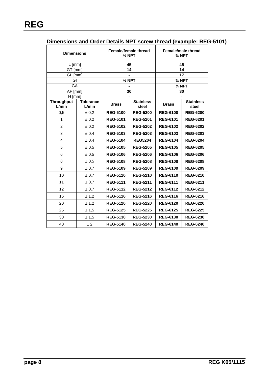| Dimensions and Order Details NPT screw thread (example: REG-5101) |  |  |
|-------------------------------------------------------------------|--|--|
|                                                                   |  |  |

| <b>Dimensions</b>          |                    | Female/female thread<br>$\frac{3}{4}$ NPT |                           | Female/male thread<br>$\frac{3}{4}$ NPT |                           |
|----------------------------|--------------------|-------------------------------------------|---------------------------|-----------------------------------------|---------------------------|
| $L$ [mm]                   |                    |                                           | 45                        | 45                                      |                           |
| GT [mm]                    |                    |                                           | 14                        |                                         | 14                        |
| GL [mm]                    |                    |                                           |                           |                                         | 17                        |
| GI                         |                    | $\frac{3}{4}$ NPT                         |                           | $\frac{3}{4}$ NPT                       |                           |
| GA                         |                    |                                           |                           | $\frac{3}{4}$ NPT                       |                           |
| $AF$ [mm]<br>$H$ [mm]      |                    |                                           | 30                        |                                         | 30                        |
| <b>Throughput</b><br>L/min | Tolerance<br>L/min | <b>Brass</b>                              | <b>Stainless</b><br>steel | <b>Brass</b>                            | <b>Stainless</b><br>steel |
| 0,5                        | ± 0.2              | <b>REG-5100</b>                           | <b>REG-5200</b>           | <b>REG-6100</b>                         | <b>REG-6200</b>           |
| 1                          | ± 0.2              | <b>REG-5101</b>                           | <b>REG-5201</b>           | <b>REG-6101</b>                         | <b>REG-6201</b>           |
| 2                          | ± 0.2              | <b>REG-5102</b>                           | <b>REG-5202</b>           | <b>REG-6102</b>                         | <b>REG-6202</b>           |
| 3                          | ± 0,4              | <b>REG-5103</b>                           | <b>REG-5203</b>           | <b>REG-6103</b>                         | <b>REG-6203</b>           |
| 4                          | ± 0,4              | <b>REG-5104</b>                           | <b>REG5204</b>            | <b>REG-6104</b>                         | <b>REG-6204</b>           |
| 5                          | ± 0,5              | <b>REG-5105</b>                           | <b>REG-5205</b>           | <b>REG-6105</b>                         | <b>REG-6205</b>           |
| 6                          | ± 0.5              | <b>REG-5106</b>                           | <b>REG-5206</b>           | <b>REG-6106</b>                         | <b>REG-6206</b>           |
| 8                          | ± 0.5              | <b>REG-5108</b>                           | <b>REG-5208</b>           | <b>REG-6108</b>                         | <b>REG-6208</b>           |
| 9                          | ± 0.7              | <b>REG-5109</b>                           | <b>REG-5209</b>           | <b>REG-6109</b>                         | <b>REG-6209</b>           |
| 10                         | ± 0.7              | <b>REG-5110</b>                           | <b>REG-5210</b>           | <b>REG-6110</b>                         | <b>REG-6210</b>           |
| 11                         | ± 0.7              | <b>REG-5111</b>                           | <b>REG-5211</b>           | <b>REG-6111</b>                         | <b>REG-6211</b>           |
| 12                         | $\pm 0.7$          | <b>REG-5112</b>                           | <b>REG-5212</b>           | <b>REG-6112</b>                         | <b>REG-6212</b>           |
| 16                         | ± 1,2              | <b>REG-5116</b>                           | <b>REG-5216</b>           | <b>REG-6116</b>                         | <b>REG-6216</b>           |
| 20                         | ± 1,2              | <b>REG-5120</b>                           | <b>REG-5220</b>           | <b>REG-6120</b>                         | <b>REG-6220</b>           |
| 25                         | ± 1,5              | <b>REG-5125</b>                           | <b>REG-5225</b>           | <b>REG-6125</b>                         | <b>REG-6225</b>           |
| 30                         | ± 1,5              | <b>REG-5130</b>                           | <b>REG-5230</b>           | <b>REG-6130</b>                         | <b>REG-6230</b>           |
| 40                         | ±2                 | <b>REG-5140</b>                           | <b>REG-5240</b>           | <b>REG-6140</b>                         | <b>REG-6240</b>           |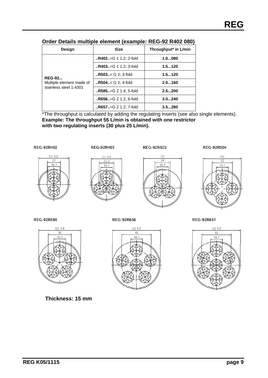| Design                   | <b>Size</b>                | Throughput* in L/min |  |
|--------------------------|----------------------------|----------------------|--|
|                          | $R402 = G 1 1.2$ ; 2-fold  | 1.0080               |  |
|                          | $R403 = G 1 1.2$ ; 3-fold  | 1.5120               |  |
| <b>REG-92</b>            | $R503 = G 2$ ; 3-fold      | 1.5120               |  |
| Multiple element made of | $R504 := G$ 2; 4-fold      | 2.0160               |  |
| stainless steel 1.4301   | $R585. = G 2 1.4$ ; 5-fold | 2.5200               |  |
|                          | $R656. = G 2 1.2$ ; 6-fold | 3.0240               |  |
|                          | $R657. = G 2 1.2$ ; 7-fold | 3.5280               |  |

#### **Order Details multiple element (example: REG-92 R402 080)**

\*The throughput is calculated by adding the regulating inserts (see also single elements). **Example: The throughput 55 L/min is obtained with one restrictor with two regulating inserts (30 plus 25 L/min).** 





**REG-92R403** 





**REG-92R504** 



**REG-92R585** 



**Thickness: 15 mm** 





**REG-92R657** 

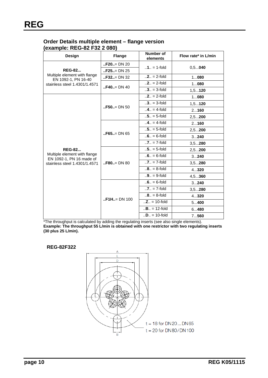### **Order Details multiple element – flange version (example: REG-82 F32 2 080)**

| Design                                                   | <b>Flange</b>                                                             | <b>Number of</b><br>elements | Flow rate* in L/min |
|----------------------------------------------------------|---------------------------------------------------------------------------|------------------------------|---------------------|
|                                                          | $\mathbf{F} = \mathbf{F} = \mathbf{D} \mathbf{D} = \mathbf{D} \mathbf{D}$ |                              |                     |
| <b>REG-82</b>                                            | $\mathsf{I}$ <b>.F25</b> = DN 25                                          | $.1. = 1$ -fold              | $0, 5$ 040          |
| Multiple element with flange<br>EN 1092-1, PN 16-40      | $F32=DN32$                                                                | $.2. = 2$ -fold              | 1080                |
| stainless steel 1.4301/1.4571                            |                                                                           | $.2. = 2$ -fold              | 1080                |
|                                                          | $.$ F40 $.$ = DN 40                                                       | $.3. = 3$ -fold              | $1, 5$ <b>120</b>   |
|                                                          |                                                                           | $.2. = 2$ -fold              | 1080                |
|                                                          | $F50 := DN 50$                                                            | $.3. = 3$ -fold              | $1, 5$ <b>120</b>   |
|                                                          |                                                                           | $.4. = 4$ -fold              | 2160                |
|                                                          |                                                                           | $.5. = 5$ -fold              | $2, 5$ <b>200</b>   |
|                                                          | $F65=DN 65$                                                               | $.4. = 4$ -fold              | 2160                |
|                                                          |                                                                           | $.5. = 5$ -fold              | $2, 5$ <b>200</b>   |
|                                                          |                                                                           | $.6. = 6$ -fold              | 3240                |
|                                                          |                                                                           | $.7. = 7$ -fold              | $3, 5$ <b>280</b>   |
| <b>REG-82</b>                                            | $B = DN 80$ = DN 80                                                       | $.5. = 5$ -fold              | $2, 5$ <b>200</b>   |
| Multiple element with flange<br>EN 1092-1, PN 16 made of |                                                                           | $.6. = 6$ -fold              | 3240                |
| stainless steel 1.4301/1.4571                            |                                                                           | $.7. = 7$ -fold              | $3, 5$ <b>280</b>   |
|                                                          |                                                                           | $.8. = 8$ -fold              | 4320                |
|                                                          |                                                                           | $.9. = 9$ -fold              | 4, 5360             |
|                                                          |                                                                           | $.6. = 6$ -fold              | 3240                |
|                                                          |                                                                           | $.7. = 7$ -fold              | $3, 5$ <b>280</b>   |
|                                                          | $F1H_{II} = DN 100$                                                       | $.8. = 8$ -fold              | 4320                |
|                                                          |                                                                           | $.Z = 10$ -fold              | 5400                |
|                                                          |                                                                           | $.B., = 12-fold$             | 6480                |
|                                                          |                                                                           | $.D = 10$ -fold              | 7560                |

\*The throughput is calculated by adding the regulating inserts (see also single elements). **Example: The throughput 55 L/min is obtained with one restrictor with two regulating inserts (30 plus 25 L/min).** 

#### **REG-82F322**